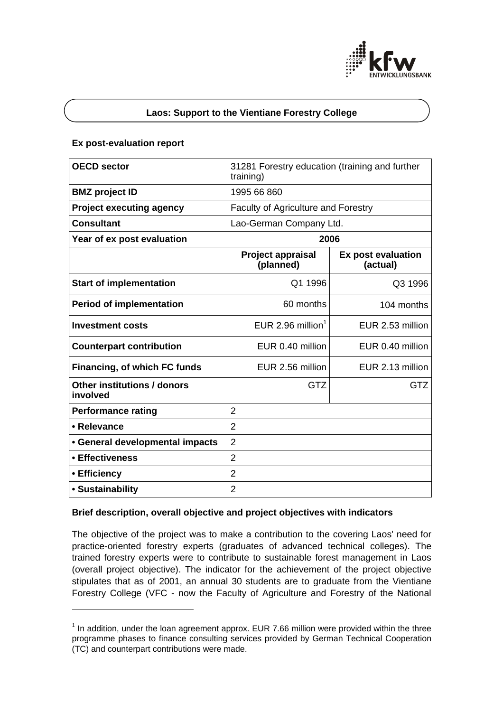

## **Laos: Support to the Vientiane Forestry College**

## **Ex post-evaluation report**

l

| <b>OECD sector</b>                      | 31281 Forestry education (training and further<br>training) |                                |
|-----------------------------------------|-------------------------------------------------------------|--------------------------------|
| <b>BMZ</b> project ID                   | 1995 66 860                                                 |                                |
| <b>Project executing agency</b>         | <b>Faculty of Agriculture and Forestry</b>                  |                                |
| <b>Consultant</b>                       | Lao-German Company Ltd.                                     |                                |
| Year of ex post evaluation              | 2006                                                        |                                |
|                                         | <b>Project appraisal</b><br>(planned)                       | Ex post evaluation<br>(actual) |
| <b>Start of implementation</b>          | Q1 1996                                                     | Q3 1996                        |
| <b>Period of implementation</b>         | 60 months                                                   | 104 months                     |
| Investment costs                        | EUR 2.96 million <sup>1</sup>                               | EUR 2.53 million               |
| <b>Counterpart contribution</b>         | EUR 0.40 million                                            | EUR 0.40 million               |
| Financing, of which FC funds            | EUR 2.56 million                                            | EUR 2.13 million               |
| Other institutions / donors<br>involved | <b>GTZ</b>                                                  | <b>GTZ</b>                     |
| <b>Performance rating</b>               | $\overline{2}$                                              |                                |
| • Relevance                             | $\overline{2}$                                              |                                |
| • General developmental impacts         | $\overline{2}$                                              |                                |
| • Effectiveness                         | $\overline{2}$                                              |                                |
| • Efficiency                            | $\overline{2}$                                              |                                |
| • Sustainability                        | $\overline{2}$                                              |                                |

## **Brief description, overall objective and project objectives with indicators**

The objective of the project was to make a contribution to the covering Laos' need for practice-oriented forestry experts (graduates of advanced technical colleges). The trained forestry experts were to contribute to sustainable forest management in Laos (overall project objective). The indicator for the achievement of the project objective stipulates that as of 2001, an annual 30 students are to graduate from the Vientiane Forestry College (VFC - now the Faculty of Agriculture and Forestry of the National

 $1$  In addition, under the loan agreement approx. EUR 7.66 million were provided within the three programme phases to finance consulting services provided by German Technical Cooperation (TC) and counterpart contributions were made.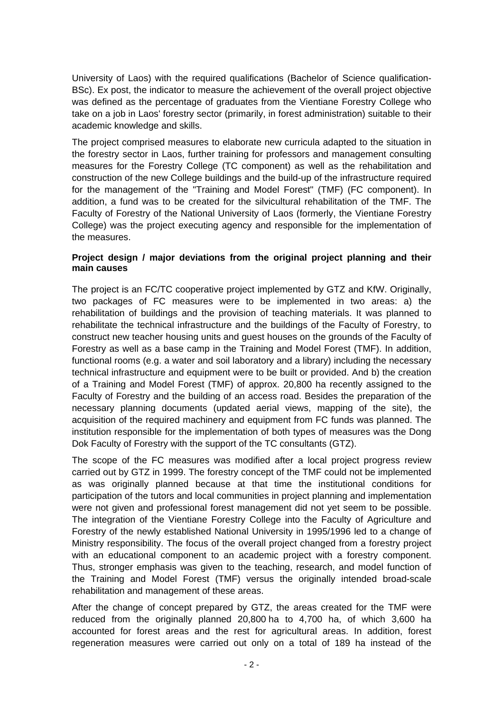University of Laos) with the required qualifications (Bachelor of Science qualification-BSc). Ex post, the indicator to measure the achievement of the overall project objective was defined as the percentage of graduates from the Vientiane Forestry College who take on a job in Laos' forestry sector (primarily, in forest administration) suitable to their academic knowledge and skills.

The project comprised measures to elaborate new curricula adapted to the situation in the forestry sector in Laos, further training for professors and management consulting measures for the Forestry College (TC component) as well as the rehabilitation and construction of the new College buildings and the build-up of the infrastructure required for the management of the "Training and Model Forest" (TMF) (FC component). In addition, a fund was to be created for the silvicultural rehabilitation of the TMF. The Faculty of Forestry of the National University of Laos (formerly, the Vientiane Forestry College) was the project executing agency and responsible for the implementation of the measures.

## **Project design / major deviations from the original project planning and their main causes**

The project is an FC/TC cooperative project implemented by GTZ and KfW. Originally, two packages of FC measures were to be implemented in two areas: a) the rehabilitation of buildings and the provision of teaching materials. It was planned to rehabilitate the technical infrastructure and the buildings of the Faculty of Forestry, to construct new teacher housing units and guest houses on the grounds of the Faculty of Forestry as well as a base camp in the Training and Model Forest (TMF). In addition, functional rooms (e.g. a water and soil laboratory and a library) including the necessary technical infrastructure and equipment were to be built or provided. And b) the creation of a Training and Model Forest (TMF) of approx. 20,800 ha recently assigned to the Faculty of Forestry and the building of an access road. Besides the preparation of the necessary planning documents (updated aerial views, mapping of the site), the acquisition of the required machinery and equipment from FC funds was planned. The institution responsible for the implementation of both types of measures was the Dong Dok Faculty of Forestry with the support of the TC consultants (GTZ).

The scope of the FC measures was modified after a local project progress review carried out by GTZ in 1999. The forestry concept of the TMF could not be implemented as was originally planned because at that time the institutional conditions for participation of the tutors and local communities in project planning and implementation were not given and professional forest management did not yet seem to be possible. The integration of the Vientiane Forestry College into the Faculty of Agriculture and Forestry of the newly established National University in 1995/1996 led to a change of Ministry responsibility. The focus of the overall project changed from a forestry project with an educational component to an academic project with a forestry component. Thus, stronger emphasis was given to the teaching, research, and model function of the Training and Model Forest (TMF) versus the originally intended broad-scale rehabilitation and management of these areas.

After the change of concept prepared by GTZ, the areas created for the TMF were reduced from the originally planned 20,800 ha to 4,700 ha, of which 3,600 ha accounted for forest areas and the rest for agricultural areas. In addition, forest regeneration measures were carried out only on a total of 189 ha instead of the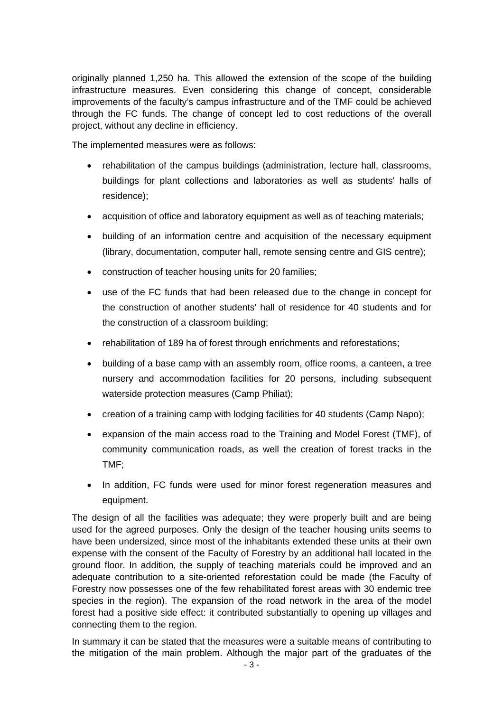originally planned 1,250 ha. This allowed the extension of the scope of the building infrastructure measures. Even considering this change of concept, considerable improvements of the faculty's campus infrastructure and of the TMF could be achieved through the FC funds. The change of concept led to cost reductions of the overall project, without any decline in efficiency.

The implemented measures were as follows:

- rehabilitation of the campus buildings (administration, lecture hall, classrooms, buildings for plant collections and laboratories as well as students' halls of residence);
- acquisition of office and laboratory equipment as well as of teaching materials;
- building of an information centre and acquisition of the necessary equipment (library, documentation, computer hall, remote sensing centre and GIS centre);
- construction of teacher housing units for 20 families;
- use of the FC funds that had been released due to the change in concept for the construction of another students' hall of residence for 40 students and for the construction of a classroom building;
- rehabilitation of 189 ha of forest through enrichments and reforestations;
- building of a base camp with an assembly room, office rooms, a canteen, a tree nursery and accommodation facilities for 20 persons, including subsequent waterside protection measures (Camp Philiat);
- creation of a training camp with lodging facilities for 40 students (Camp Napo);
- expansion of the main access road to the Training and Model Forest (TMF), of community communication roads, as well the creation of forest tracks in the TMF;
- In addition, FC funds were used for minor forest regeneration measures and equipment.

The design of all the facilities was adequate; they were properly built and are being used for the agreed purposes. Only the design of the teacher housing units seems to have been undersized, since most of the inhabitants extended these units at their own expense with the consent of the Faculty of Forestry by an additional hall located in the ground floor. In addition, the supply of teaching materials could be improved and an adequate contribution to a site-oriented reforestation could be made (the Faculty of Forestry now possesses one of the few rehabilitated forest areas with 30 endemic tree species in the region). The expansion of the road network in the area of the model forest had a positive side effect: it contributed substantially to opening up villages and connecting them to the region.

In summary it can be stated that the measures were a suitable means of contributing to the mitigation of the main problem. Although the major part of the graduates of the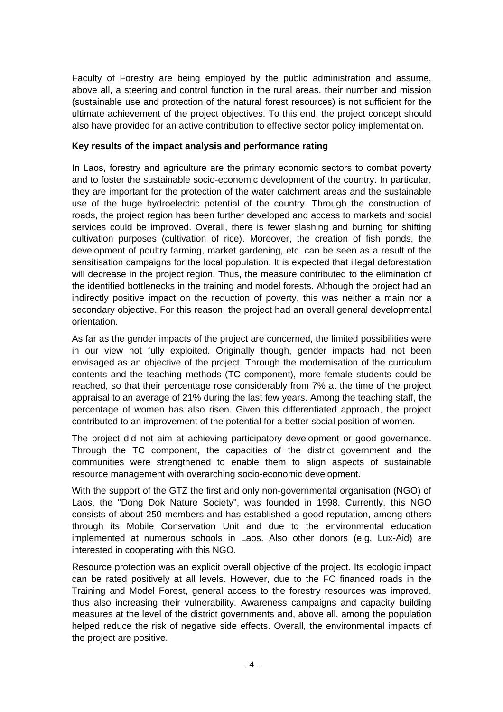Faculty of Forestry are being employed by the public administration and assume, above all, a steering and control function in the rural areas, their number and mission (sustainable use and protection of the natural forest resources) is not sufficient for the ultimate achievement of the project objectives. To this end, the project concept should also have provided for an active contribution to effective sector policy implementation.

# **Key results of the impact analysis and performance rating**

In Laos, forestry and agriculture are the primary economic sectors to combat poverty and to foster the sustainable socio-economic development of the country. In particular, they are important for the protection of the water catchment areas and the sustainable use of the huge hydroelectric potential of the country. Through the construction of roads, the project region has been further developed and access to markets and social services could be improved. Overall, there is fewer slashing and burning for shifting cultivation purposes (cultivation of rice). Moreover, the creation of fish ponds, the development of poultry farming, market gardening, etc. can be seen as a result of the sensitisation campaigns for the local population. It is expected that illegal deforestation will decrease in the project region. Thus, the measure contributed to the elimination of the identified bottlenecks in the training and model forests. Although the project had an indirectly positive impact on the reduction of poverty, this was neither a main nor a secondary objective. For this reason, the project had an overall general developmental orientation.

As far as the gender impacts of the project are concerned, the limited possibilities were in our view not fully exploited. Originally though, gender impacts had not been envisaged as an objective of the project. Through the modernisation of the curriculum contents and the teaching methods (TC component), more female students could be reached, so that their percentage rose considerably from 7% at the time of the project appraisal to an average of 21% during the last few years. Among the teaching staff, the percentage of women has also risen. Given this differentiated approach, the project contributed to an improvement of the potential for a better social position of women.

The project did not aim at achieving participatory development or good governance. Through the TC component, the capacities of the district government and the communities were strengthened to enable them to align aspects of sustainable resource management with overarching socio-economic development.

With the support of the GTZ the first and only non-governmental organisation (NGO) of Laos, the "Dong Dok Nature Society", was founded in 1998. Currently, this NGO consists of about 250 members and has established a good reputation, among others through its Mobile Conservation Unit and due to the environmental education implemented at numerous schools in Laos. Also other donors (e.g. Lux-Aid) are interested in cooperating with this NGO.

Resource protection was an explicit overall objective of the project. Its ecologic impact can be rated positively at all levels. However, due to the FC financed roads in the Training and Model Forest, general access to the forestry resources was improved, thus also increasing their vulnerability. Awareness campaigns and capacity building measures at the level of the district governments and, above all, among the population helped reduce the risk of negative side effects. Overall, the environmental impacts of the project are positive.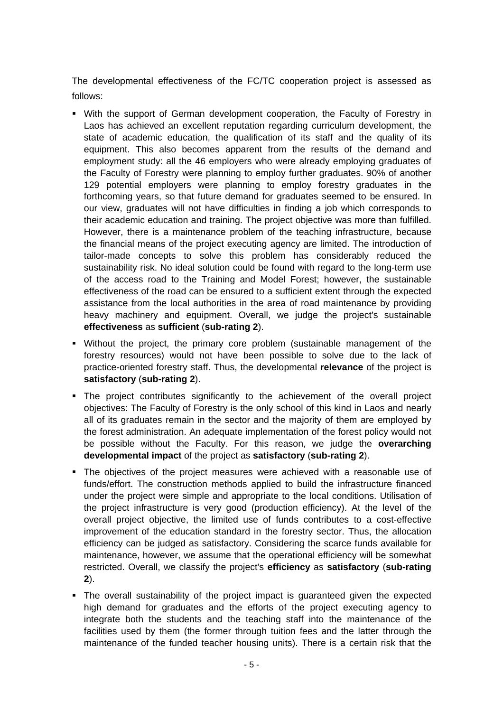The developmental effectiveness of the FC/TC cooperation project is assessed as follows:

- With the support of German development cooperation, the Faculty of Forestry in Laos has achieved an excellent reputation regarding curriculum development, the state of academic education, the qualification of its staff and the quality of its equipment. This also becomes apparent from the results of the demand and employment study: all the 46 employers who were already employing graduates of the Faculty of Forestry were planning to employ further graduates. 90% of another 129 potential employers were planning to employ forestry graduates in the forthcoming years, so that future demand for graduates seemed to be ensured. In our view, graduates will not have difficulties in finding a job which corresponds to their academic education and training. The project objective was more than fulfilled. However, there is a maintenance problem of the teaching infrastructure, because the financial means of the project executing agency are limited. The introduction of tailor-made concepts to solve this problem has considerably reduced the sustainability risk. No ideal solution could be found with regard to the long-term use of the access road to the Training and Model Forest; however, the sustainable effectiveness of the road can be ensured to a sufficient extent through the expected assistance from the local authorities in the area of road maintenance by providing heavy machinery and equipment. Overall, we judge the project's sustainable **effectiveness** as **sufficient** (**sub-rating 2**).
- Without the project, the primary core problem (sustainable management of the forestry resources) would not have been possible to solve due to the lack of practice-oriented forestry staff. Thus, the developmental **relevance** of the project is **satisfactory** (**sub-rating 2**).
- The project contributes significantly to the achievement of the overall project objectives: The Faculty of Forestry is the only school of this kind in Laos and nearly all of its graduates remain in the sector and the majority of them are employed by the forest administration. An adequate implementation of the forest policy would not be possible without the Faculty. For this reason, we judge the **overarching developmental impact** of the project as **satisfactory** (**sub-rating 2**).
- The objectives of the project measures were achieved with a reasonable use of funds/effort. The construction methods applied to build the infrastructure financed under the project were simple and appropriate to the local conditions. Utilisation of the project infrastructure is very good (production efficiency). At the level of the overall project objective, the limited use of funds contributes to a cost-effective improvement of the education standard in the forestry sector. Thus, the allocation efficiency can be judged as satisfactory. Considering the scarce funds available for maintenance, however, we assume that the operational efficiency will be somewhat restricted. Overall, we classify the project's **efficiency** as **satisfactory** (**sub-rating 2**).
- The overall sustainability of the project impact is guaranteed given the expected high demand for graduates and the efforts of the project executing agency to integrate both the students and the teaching staff into the maintenance of the facilities used by them (the former through tuition fees and the latter through the maintenance of the funded teacher housing units). There is a certain risk that the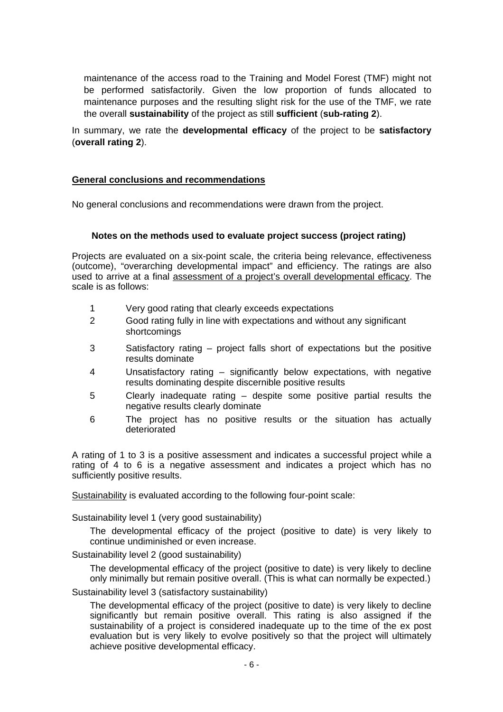maintenance of the access road to the Training and Model Forest (TMF) might not be performed satisfactorily. Given the low proportion of funds allocated to maintenance purposes and the resulting slight risk for the use of the TMF, we rate the overall **sustainability** of the project as still **sufficient** (**sub-rating 2**).

In summary, we rate the **developmental efficacy** of the project to be **satisfactory** (**overall rating 2**).

## **General conclusions and recommendations**

No general conclusions and recommendations were drawn from the project.

#### **Notes on the methods used to evaluate project success (project rating)**

Projects are evaluated on a six-point scale, the criteria being relevance, effectiveness (outcome), "overarching developmental impact" and efficiency. The ratings are also used to arrive at a final assessment of a project's overall developmental efficacy. The scale is as follows:

- 1 Very good rating that clearly exceeds expectations
- 2 Good rating fully in line with expectations and without any significant shortcomings
- 3 Satisfactory rating project falls short of expectations but the positive results dominate
- 4 Unsatisfactory rating significantly below expectations, with negative results dominating despite discernible positive results
- 5 Clearly inadequate rating despite some positive partial results the negative results clearly dominate
- 6 The project has no positive results or the situation has actually deteriorated

A rating of 1 to 3 is a positive assessment and indicates a successful project while a rating of 4 to 6 is a negative assessment and indicates a project which has no sufficiently positive results.

Sustainability is evaluated according to the following four-point scale:

Sustainability level 1 (very good sustainability)

The developmental efficacy of the project (positive to date) is very likely to continue undiminished or even increase.

Sustainability level 2 (good sustainability)

The developmental efficacy of the project (positive to date) is very likely to decline only minimally but remain positive overall. (This is what can normally be expected.)

Sustainability level 3 (satisfactory sustainability)

The developmental efficacy of the project (positive to date) is very likely to decline significantly but remain positive overall. This rating is also assigned if the sustainability of a project is considered inadequate up to the time of the ex post evaluation but is very likely to evolve positively so that the project will ultimately achieve positive developmental efficacy.